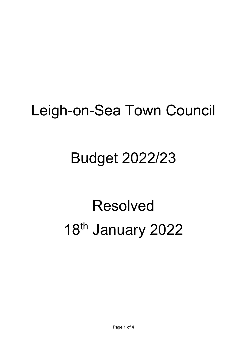## Leigh-on-Sea Town Council

## Budget 2022/23

## Resolved 18<sup>th</sup> January 2022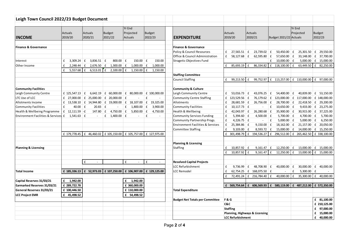| Leigh Town Council 2022/23 Budget Document   |                           |                                           |                                                                                            |                                       |                          |                                              |                           |                                                |                                                        |                                             |                             |
|----------------------------------------------|---------------------------|-------------------------------------------|--------------------------------------------------------------------------------------------|---------------------------------------|--------------------------|----------------------------------------------|---------------------------|------------------------------------------------|--------------------------------------------------------|---------------------------------------------|-----------------------------|
| <b>INCOME</b>                                | <b>Actuals</b><br>2019/20 | <b>Actuals</b><br>2020/21                 | <b>Budget</b><br>2021/22                                                                   | Yr End<br>Projected<br><b>Actuals</b> | <b>Budget</b><br>2022/23 | <b>EXPENDITURE</b>                           | <b>Actuals</b><br>2019/20 | <b>Actuals</b><br>2020/21                      | Budget 2021/22 Actuals                                 | Yr End<br>Projected                         | <b>Budget</b><br>2022/23    |
|                                              |                           |                                           |                                                                                            |                                       |                          |                                              |                           |                                                |                                                        |                                             |                             |
| <b>Finance &amp; Governance</b>              |                           |                                           |                                                                                            |                                       |                          | <b>Finance &amp; Governance</b>              |                           |                                                |                                                        |                                             |                             |
|                                              |                           |                                           |                                                                                            |                                       |                          | Policy & Council Resources                   | £<br>$27,565.51 \mid f$   | 23,739.02                                      | Ι£<br>$50,450.00$ $E$                                  | $25,301.50$ £                               | 29,550.00                   |
|                                              |                           |                                           |                                                                                            |                                       |                          | Office & Council Administration              | £<br>$58,127.68$ $E$      | $62,595.80$ £                                  | 57,650.00 $E$                                          | $33,148.00$ £                               | 37,700.00                   |
| Interest                                     | £<br>3,309.24             | $3,836.51 \mid f$<br>f                    | $800.00$ £                                                                                 | $150.00$ $E$                          | 150.00                   | Stragetic Objectives Fund                    |                           |                                                | $10,000.00$ $E$<br>£                                   |                                             | $5,000.00$ $E$ 15,000.00    |
| Other Income                                 | £<br>$2,248.44$ £         | $2,676.50$ £                              | $1,300.00$ £                                                                               | 1,000.00                              | $\mathbf f$<br>1,000.00  |                                              | $\pounds$<br>85,693.19    | 86,334.82<br>$\mathbf{f}$                      | £ 118,100.00                                           | f<br>63,449.50                              | f<br>82,250.00              |
|                                              | £<br>5,557.68             | $6,513.01$ $E$<br>l £                     | $2,100.00$ £                                                                               | 1,150.00                              | E<br>1,150.00            |                                              |                           |                                                |                                                        |                                             |                             |
|                                              |                           |                                           |                                                                                            |                                       |                          | <b>Staffing Committee</b>                    |                           |                                                |                                                        |                                             |                             |
|                                              |                           |                                           |                                                                                            |                                       |                          | <b>Council Staffing</b>                      | £<br>99,213.50            | 99,752.97<br>£                                 | £ 113,257.00                                           | £ 110,000.00                                | £ 97,000.00                 |
| <b>Community Facilities</b>                  |                           |                                           |                                                                                            |                                       |                          | <b>Community &amp; Culture</b>               |                           |                                                |                                                        |                                             |                             |
| Leigh Community Centre                       | £ $125,547.13 \mid f$     |                                           | 6,642.19 $\left  \right $ 60,000.00 $\left  \right $ 80,000.00 $\left  \right $ 100,000.00 |                                       |                          | Leigh Community Centre                       | £<br>53,016.73 $E$        | 43,076.25 £                                    | 54,400.00 £                                            |                                             | 40,839.00 £ 53,150.00       |
| LTC Use of LCC                               |                           |                                           | £ 27,000.00 $\vert$ £ 25,000.00 $\vert$ £ 20,000.00 $\vert$ £                              |                                       | £                        | <b>Community Centre Staffing</b>             | £<br>123,529.56 £         |                                                | 76,179.62   £ 123,000.00   £ 117,000.00   £ 148,000.00 |                                             |                             |
| Allotments Income                            |                           |                                           | £ 13,538.10 $\vert$ £ 14,944.80 $\vert$ £ 19,000.00 $\vert$ £ 18,107.00                    |                                       | 19,325.00<br>Ι£          | Allotments                                   | 28,681.59 £<br>£          | 26,756.00 £                                    | 28,700.00 £                                            | $22,418.50$ £                               | 29,200.00                   |
| <b>Community Facilities</b>                  | £<br>$40.00$ $E$          | $20.83$ $E$                               |                                                                                            | £<br>$1,800.00$ $E$                   | 3,900.00                 | <b>Community Facilities</b>                  | £<br>$10,117.73$ $E$      |                                                | £<br>$10,650.00$ $E$                                   |                                             | $9,433.00 \mid f$ 23,275.00 |
| Health & Wellbeing Programme                 | $f$ 12,111.59 -f          | $147.80$ $E$                              | 4,750.00 $E$                                                                               | 5,850.00                              | 4,750.00<br>Ι£           | Health & Wellbeing                           | 42,043.97 £<br>£          | 26,280.68 £                                    | $35,900.00$ $E$                                        | $30,915.00$ $E$                             | 37,225.00                   |
| <b>Environment Facilities &amp; Services</b> | $f = 1,541.63$ $f =$      | $\overline{\phantom{a}}$                  | f<br>$1,400.00$ £                                                                          | $\sim$                                | £                        | <b>Community Services Funding</b>            | $5,394.60$ £<br>£         | $4,500.00$ £                                   | $5,700.00$ £                                           | 4,700.00 $E$                                | 5,700.00                    |
|                                              |                           |                                           |                                                                                            |                                       |                          | Community Partnership Progs.                 | £<br>4,226.75 $E$         |                                                | $5,000.00$ $E$<br>$\mathbf f$                          | $5,000.00$ £                                | 6,250.00                    |
|                                              |                           |                                           |                                                                                            |                                       |                          | <b>Environment Facilities &amp; Services</b> | £<br>25,384.86 £          | $9,150.00$ £                                   | $18,162.00$ $E$                                        | $21,157.00$ $E$                             | 20,050.00                   |
|                                              |                           |                                           |                                                                                            |                                       |                          | <b>Committee Staffing</b>                    | f<br>$9.103.00$ £         | $8,593.72 \mid f$                              |                                                        | $15,000.00$ $E$ $14,000.00$ $E$ $15,250.00$ |                             |
|                                              | £ 179,778.45              | £ 46,460.02                               | £ 105,150.00                                                                               | £ 105,757.00                          | £ 127,975.00             |                                              | £<br>301,498.79           | £ 194,536.27                                   | f<br>296,512.00                                        | £ 265,462.50                                | £ 338,100.00                |
|                                              |                           |                                           |                                                                                            |                                       |                          | <b>Planning &amp; Licensing</b>              |                           |                                                |                                                        |                                             |                             |
| <b>Planning &amp; Licensing</b>              |                           |                                           |                                                                                            |                                       |                          | Staffing                                     | £<br>$10,857.92$ £        | 9,161.47                                       | $12,250.00$ $E$<br>£                                   |                                             | $13,000.00$ $E$ 15,000.00   |
|                                              |                           |                                           |                                                                                            |                                       |                          |                                              | £<br>10,857.92 £          | 9,161.47                                       | 12,250.00<br>£                                         | £<br>13,000.00                              | $\mathbf{f}$<br>15,000.00   |
|                                              |                           |                                           |                                                                                            |                                       |                          |                                              |                           |                                                |                                                        |                                             |                             |
|                                              |                           | £<br>$\overline{\phantom{a}}$             |                                                                                            | £<br>$\sim$                           | £                        | <b>Resolved Capital Projects</b>             |                           |                                                |                                                        |                                             |                             |
|                                              |                           |                                           |                                                                                            |                                       |                          | LCC Refurbishment                            | £<br>$9.736.99$ £         | 48,708.90 £                                    | $40,000.00$ $E$                                        |                                             | $30,000.00$ $E$ 40,000.00   |
| <b>Total Income</b>                          |                           | £ 185,336.13 $\left  2 \right $ 52,973.03 | £ 107,250.00                                                                               | £ 106,907.00                          | £ 129,125.00             | LCC Remodel                                  | £                         | 62,754.25   $\text{£}$ 168,075.50   $\text{£}$ |                                                        | £<br>$5,300.00$ £                           |                             |
|                                              |                           |                                           |                                                                                            |                                       |                          |                                              | $\pmb{\mathsf{f}}$        | 72,491.24 £ 216,784.40                         | 40,000.00<br>£                                         | f<br>35,300.00                              | £ 40,000.00                 |
| Capital Reserves 31/03/21                    | £<br>1,942.00             |                                           |                                                                                            | £<br>1,942.00                         |                          |                                              |                           |                                                |                                                        |                                             |                             |
| Earmarked Reserves 31/03/21                  | £ 289,722.78              |                                           |                                                                                            | £ 360,000.00                          |                          |                                              | £ 569,754.64              | 606,569.93<br>£                                | 580,119.00<br>f                                        | £ 487,212.00                                | £ 572,350.00                |
| General Reserves 31/03/21                    | £ 100,446.50              |                                           |                                                                                            | £ 110,000.00                          |                          | <b>Total Expenditure</b>                     |                           |                                                |                                                        |                                             |                             |
| <b>LCC Project EMR</b>                       | £ 45,498.52               |                                           |                                                                                            | £ 54,498.52                           |                          |                                              |                           |                                                |                                                        |                                             |                             |
|                                              |                           |                                           |                                                                                            |                                       |                          | <b>Budget Net Totals per Committee</b>       | F & G                     |                                                |                                                        |                                             | £ 81,100.00                 |
|                                              |                           |                                           |                                                                                            |                                       |                          |                                              | C&C                       |                                                |                                                        |                                             | £ 210,125.00                |
|                                              |                           |                                           |                                                                                            |                                       |                          |                                              | <b>Staffing</b>           |                                                |                                                        |                                             | £ 97,000.00                 |
|                                              |                           |                                           |                                                                                            |                                       |                          |                                              |                           | Planning, Highways & Licensing                 |                                                        |                                             | £ 15,000.00                 |
|                                              |                           |                                           |                                                                                            |                                       |                          | <b>LCC Refurbishment</b>                     |                           |                                                |                                                        |                                             | £ 40,000.00                 |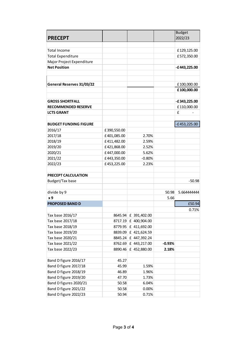| <b>PRECEPT</b><br>2022/23<br>£129,125.00<br><b>Total Income</b><br><b>Total Expenditure</b><br>£572,350.00<br>Major Project Expenditure<br><b>Net Position</b><br>-£443,225.00<br>General Reserves 31/03/22<br>£100,000.00<br>£100,000.00<br><b>GROSS SHORTFALL</b><br>-£343,225.00<br>£110,000.00<br><b>RECOMMENDED RESERVE</b><br>£<br><b>LCTS GRANT</b><br>$-E453,225.00$<br><b>BUDGET FUNDING FIGURE</b><br>2016/17<br>£390,550.00<br>2017/18<br>£401,085.00<br>2.70%<br>2018/19<br>£411,482.00<br>2.59%<br>2019/20<br>£421,868.00<br>2.52%<br>2020/21<br>£447,000.00<br>5.62%<br>2021/22<br>£443,350.00<br>$-0.80%$<br>2022/23<br>£453,225.00<br>2.23%<br>PRECEPT CALCULATION<br>Budget/Tax base<br>$-50.98$<br>divide by 9<br>50.98<br>5.664444444<br>x9<br>5.66<br>£50.94<br><b>PROPOSED BAND D</b><br>0.71%<br>8645.94 £ 391,402.00<br>Tax base 2016/17<br>Tax base 2017/18<br>8717.19 £ 400,904.00<br>Tax base 2018/19<br>8779.95 £ 411,692.00<br>Tax base 2019/20<br>8839.09 £ 421,624.59<br>Tax base 2020/21<br>8845.24 £ 447,392.24<br>Tax base 2021/22<br>8762.69 £ 443,217.00<br>$-0.93%$<br>Tax base 2022/23<br>8890.46 £ 452,880.00<br>2.18%<br>Band D figure 2016/17<br>45.27<br>Band D figure 2017/18<br>45.99<br>1.59%<br>Band D figure 2018/19<br>46.89<br>1.96%<br>Band D figure 2019/20<br>47.70<br>1.73%<br>Band D figures 2020/21<br>50.58<br>6.04%<br>Band D figure 2021/22<br>50.58<br>0.00% |                       |       |       | <b>Budget</b> |
|------------------------------------------------------------------------------------------------------------------------------------------------------------------------------------------------------------------------------------------------------------------------------------------------------------------------------------------------------------------------------------------------------------------------------------------------------------------------------------------------------------------------------------------------------------------------------------------------------------------------------------------------------------------------------------------------------------------------------------------------------------------------------------------------------------------------------------------------------------------------------------------------------------------------------------------------------------------------------------------------------------------------------------------------------------------------------------------------------------------------------------------------------------------------------------------------------------------------------------------------------------------------------------------------------------------------------------------------------------------------------------------------------------------------|-----------------------|-------|-------|---------------|
|                                                                                                                                                                                                                                                                                                                                                                                                                                                                                                                                                                                                                                                                                                                                                                                                                                                                                                                                                                                                                                                                                                                                                                                                                                                                                                                                                                                                                        |                       |       |       |               |
|                                                                                                                                                                                                                                                                                                                                                                                                                                                                                                                                                                                                                                                                                                                                                                                                                                                                                                                                                                                                                                                                                                                                                                                                                                                                                                                                                                                                                        |                       |       |       |               |
|                                                                                                                                                                                                                                                                                                                                                                                                                                                                                                                                                                                                                                                                                                                                                                                                                                                                                                                                                                                                                                                                                                                                                                                                                                                                                                                                                                                                                        |                       |       |       |               |
|                                                                                                                                                                                                                                                                                                                                                                                                                                                                                                                                                                                                                                                                                                                                                                                                                                                                                                                                                                                                                                                                                                                                                                                                                                                                                                                                                                                                                        |                       |       |       |               |
|                                                                                                                                                                                                                                                                                                                                                                                                                                                                                                                                                                                                                                                                                                                                                                                                                                                                                                                                                                                                                                                                                                                                                                                                                                                                                                                                                                                                                        |                       |       |       |               |
|                                                                                                                                                                                                                                                                                                                                                                                                                                                                                                                                                                                                                                                                                                                                                                                                                                                                                                                                                                                                                                                                                                                                                                                                                                                                                                                                                                                                                        |                       |       |       |               |
|                                                                                                                                                                                                                                                                                                                                                                                                                                                                                                                                                                                                                                                                                                                                                                                                                                                                                                                                                                                                                                                                                                                                                                                                                                                                                                                                                                                                                        |                       |       |       |               |
|                                                                                                                                                                                                                                                                                                                                                                                                                                                                                                                                                                                                                                                                                                                                                                                                                                                                                                                                                                                                                                                                                                                                                                                                                                                                                                                                                                                                                        |                       |       |       |               |
|                                                                                                                                                                                                                                                                                                                                                                                                                                                                                                                                                                                                                                                                                                                                                                                                                                                                                                                                                                                                                                                                                                                                                                                                                                                                                                                                                                                                                        |                       |       |       |               |
|                                                                                                                                                                                                                                                                                                                                                                                                                                                                                                                                                                                                                                                                                                                                                                                                                                                                                                                                                                                                                                                                                                                                                                                                                                                                                                                                                                                                                        |                       |       |       |               |
|                                                                                                                                                                                                                                                                                                                                                                                                                                                                                                                                                                                                                                                                                                                                                                                                                                                                                                                                                                                                                                                                                                                                                                                                                                                                                                                                                                                                                        |                       |       |       |               |
|                                                                                                                                                                                                                                                                                                                                                                                                                                                                                                                                                                                                                                                                                                                                                                                                                                                                                                                                                                                                                                                                                                                                                                                                                                                                                                                                                                                                                        |                       |       |       |               |
|                                                                                                                                                                                                                                                                                                                                                                                                                                                                                                                                                                                                                                                                                                                                                                                                                                                                                                                                                                                                                                                                                                                                                                                                                                                                                                                                                                                                                        |                       |       |       |               |
|                                                                                                                                                                                                                                                                                                                                                                                                                                                                                                                                                                                                                                                                                                                                                                                                                                                                                                                                                                                                                                                                                                                                                                                                                                                                                                                                                                                                                        |                       |       |       |               |
|                                                                                                                                                                                                                                                                                                                                                                                                                                                                                                                                                                                                                                                                                                                                                                                                                                                                                                                                                                                                                                                                                                                                                                                                                                                                                                                                                                                                                        |                       |       |       |               |
|                                                                                                                                                                                                                                                                                                                                                                                                                                                                                                                                                                                                                                                                                                                                                                                                                                                                                                                                                                                                                                                                                                                                                                                                                                                                                                                                                                                                                        |                       |       |       |               |
|                                                                                                                                                                                                                                                                                                                                                                                                                                                                                                                                                                                                                                                                                                                                                                                                                                                                                                                                                                                                                                                                                                                                                                                                                                                                                                                                                                                                                        |                       |       |       |               |
|                                                                                                                                                                                                                                                                                                                                                                                                                                                                                                                                                                                                                                                                                                                                                                                                                                                                                                                                                                                                                                                                                                                                                                                                                                                                                                                                                                                                                        |                       |       |       |               |
|                                                                                                                                                                                                                                                                                                                                                                                                                                                                                                                                                                                                                                                                                                                                                                                                                                                                                                                                                                                                                                                                                                                                                                                                                                                                                                                                                                                                                        |                       |       |       |               |
|                                                                                                                                                                                                                                                                                                                                                                                                                                                                                                                                                                                                                                                                                                                                                                                                                                                                                                                                                                                                                                                                                                                                                                                                                                                                                                                                                                                                                        |                       |       |       |               |
|                                                                                                                                                                                                                                                                                                                                                                                                                                                                                                                                                                                                                                                                                                                                                                                                                                                                                                                                                                                                                                                                                                                                                                                                                                                                                                                                                                                                                        |                       |       |       |               |
|                                                                                                                                                                                                                                                                                                                                                                                                                                                                                                                                                                                                                                                                                                                                                                                                                                                                                                                                                                                                                                                                                                                                                                                                                                                                                                                                                                                                                        |                       |       |       |               |
|                                                                                                                                                                                                                                                                                                                                                                                                                                                                                                                                                                                                                                                                                                                                                                                                                                                                                                                                                                                                                                                                                                                                                                                                                                                                                                                                                                                                                        |                       |       |       |               |
|                                                                                                                                                                                                                                                                                                                                                                                                                                                                                                                                                                                                                                                                                                                                                                                                                                                                                                                                                                                                                                                                                                                                                                                                                                                                                                                                                                                                                        |                       |       |       |               |
|                                                                                                                                                                                                                                                                                                                                                                                                                                                                                                                                                                                                                                                                                                                                                                                                                                                                                                                                                                                                                                                                                                                                                                                                                                                                                                                                                                                                                        |                       |       |       |               |
|                                                                                                                                                                                                                                                                                                                                                                                                                                                                                                                                                                                                                                                                                                                                                                                                                                                                                                                                                                                                                                                                                                                                                                                                                                                                                                                                                                                                                        |                       |       |       |               |
|                                                                                                                                                                                                                                                                                                                                                                                                                                                                                                                                                                                                                                                                                                                                                                                                                                                                                                                                                                                                                                                                                                                                                                                                                                                                                                                                                                                                                        |                       |       |       |               |
|                                                                                                                                                                                                                                                                                                                                                                                                                                                                                                                                                                                                                                                                                                                                                                                                                                                                                                                                                                                                                                                                                                                                                                                                                                                                                                                                                                                                                        |                       |       |       |               |
|                                                                                                                                                                                                                                                                                                                                                                                                                                                                                                                                                                                                                                                                                                                                                                                                                                                                                                                                                                                                                                                                                                                                                                                                                                                                                                                                                                                                                        |                       |       |       |               |
|                                                                                                                                                                                                                                                                                                                                                                                                                                                                                                                                                                                                                                                                                                                                                                                                                                                                                                                                                                                                                                                                                                                                                                                                                                                                                                                                                                                                                        |                       |       |       |               |
|                                                                                                                                                                                                                                                                                                                                                                                                                                                                                                                                                                                                                                                                                                                                                                                                                                                                                                                                                                                                                                                                                                                                                                                                                                                                                                                                                                                                                        |                       |       |       |               |
|                                                                                                                                                                                                                                                                                                                                                                                                                                                                                                                                                                                                                                                                                                                                                                                                                                                                                                                                                                                                                                                                                                                                                                                                                                                                                                                                                                                                                        |                       |       |       |               |
|                                                                                                                                                                                                                                                                                                                                                                                                                                                                                                                                                                                                                                                                                                                                                                                                                                                                                                                                                                                                                                                                                                                                                                                                                                                                                                                                                                                                                        |                       |       |       |               |
|                                                                                                                                                                                                                                                                                                                                                                                                                                                                                                                                                                                                                                                                                                                                                                                                                                                                                                                                                                                                                                                                                                                                                                                                                                                                                                                                                                                                                        |                       |       |       |               |
|                                                                                                                                                                                                                                                                                                                                                                                                                                                                                                                                                                                                                                                                                                                                                                                                                                                                                                                                                                                                                                                                                                                                                                                                                                                                                                                                                                                                                        |                       |       |       |               |
|                                                                                                                                                                                                                                                                                                                                                                                                                                                                                                                                                                                                                                                                                                                                                                                                                                                                                                                                                                                                                                                                                                                                                                                                                                                                                                                                                                                                                        |                       |       |       |               |
|                                                                                                                                                                                                                                                                                                                                                                                                                                                                                                                                                                                                                                                                                                                                                                                                                                                                                                                                                                                                                                                                                                                                                                                                                                                                                                                                                                                                                        |                       |       |       |               |
|                                                                                                                                                                                                                                                                                                                                                                                                                                                                                                                                                                                                                                                                                                                                                                                                                                                                                                                                                                                                                                                                                                                                                                                                                                                                                                                                                                                                                        |                       |       |       |               |
|                                                                                                                                                                                                                                                                                                                                                                                                                                                                                                                                                                                                                                                                                                                                                                                                                                                                                                                                                                                                                                                                                                                                                                                                                                                                                                                                                                                                                        |                       |       |       |               |
|                                                                                                                                                                                                                                                                                                                                                                                                                                                                                                                                                                                                                                                                                                                                                                                                                                                                                                                                                                                                                                                                                                                                                                                                                                                                                                                                                                                                                        |                       |       |       |               |
|                                                                                                                                                                                                                                                                                                                                                                                                                                                                                                                                                                                                                                                                                                                                                                                                                                                                                                                                                                                                                                                                                                                                                                                                                                                                                                                                                                                                                        |                       |       |       |               |
|                                                                                                                                                                                                                                                                                                                                                                                                                                                                                                                                                                                                                                                                                                                                                                                                                                                                                                                                                                                                                                                                                                                                                                                                                                                                                                                                                                                                                        |                       |       |       |               |
|                                                                                                                                                                                                                                                                                                                                                                                                                                                                                                                                                                                                                                                                                                                                                                                                                                                                                                                                                                                                                                                                                                                                                                                                                                                                                                                                                                                                                        |                       |       |       |               |
|                                                                                                                                                                                                                                                                                                                                                                                                                                                                                                                                                                                                                                                                                                                                                                                                                                                                                                                                                                                                                                                                                                                                                                                                                                                                                                                                                                                                                        | Band D figure 2022/23 | 50.94 | 0.71% |               |